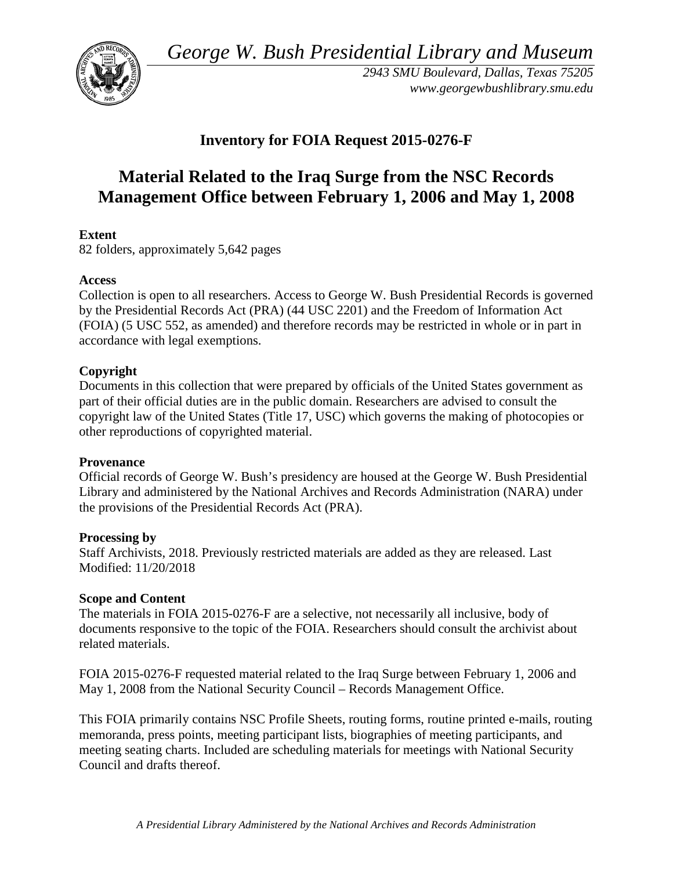*George W. Bush Presidential Library and Museum* 



 *2943 SMU Boulevard, Dallas, Texas 75205 <www.georgewbushlibrary.smu.edu>*

## **Inventory for FOIA Request 2015-0276-F**

# **Material Related to the Iraq Surge from the NSC Records Management Office between February 1, 2006 and May 1, 2008**

## **Extent**

82 folders, approximately 5,642 pages

## **Access**

 by the Presidential Records Act (PRA) (44 USC 2201) and the Freedom of Information Act Collection is open to all researchers. Access to George W. Bush Presidential Records is governed (FOIA) (5 USC 552, as amended) and therefore records may be restricted in whole or in part in accordance with legal exemptions.

## **Copyright**

 Documents in this collection that were prepared by officials of the United States government as part of their official duties are in the public domain. Researchers are advised to consult the copyright law of the United States (Title 17, USC) which governs the making of photocopies or other reproductions of copyrighted material.

## **Provenance**

 Official records of George W. Bush's presidency are housed at the George W. Bush Presidential Library and administered by the National Archives and Records Administration (NARA) under the provisions of the Presidential Records Act (PRA).

## **Processing by**

 Modified: 11/20/2018 Staff Archivists, 2018. Previously restricted materials are added as they are released. Last

## **Scope and Content**

The materials in FOIA 2015-0276-F are a selective, not necessarily all inclusive, body of documents responsive to the topic of the FOIA. Researchers should consult the archivist about related materials.

 May 1, 2008 from the National Security Council – Records Management Office. FOIA 2015-0276-F requested material related to the Iraq Surge between February 1, 2006 and

 meeting seating charts. Included are scheduling materials for meetings with National Security This FOIA primarily contains NSC Profile Sheets, routing forms, routine printed e-mails, routing memoranda, press points, meeting participant lists, biographies of meeting participants, and Council and drafts thereof.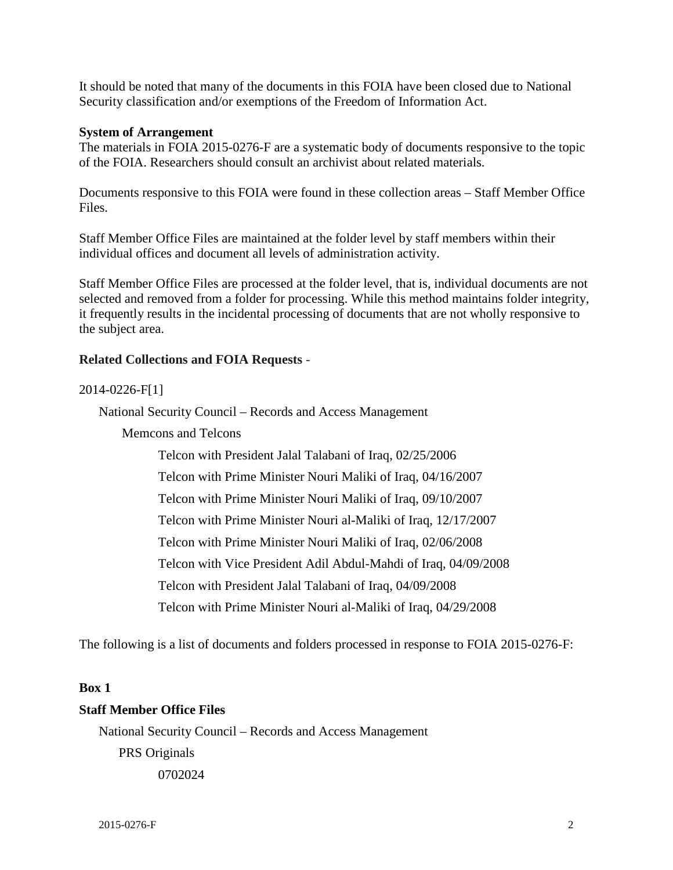It should be noted that many of the documents in this FOIA have been closed due to National Security classification and/or exemptions of the Freedom of Information Act.

#### **System of Arrangement**

 The materials in FOIA 2015-0276-F are a systematic body of documents responsive to the topic of the FOIA. Researchers should consult an archivist about related materials.

 Documents responsive to this FOIA were found in these collection areas – Staff Member Office Files.

Staff Member Office Files are maintained at the folder level by staff members within their individual offices and document all levels of administration activity.

Staff Member Office Files are processed at the folder level, that is, individual documents are not selected and removed from a folder for processing. While this method maintains folder integrity, it frequently results in the incidental processing of documents that are not wholly responsive to the subject area.

#### **Related Collections and FOIA Requests** -

#### 2014-0226-F[1]

National Security Council – Records and Access Management

Memcons and Telcons

Telcon with President Jalal Talabani of Iraq, 02/25/2006 Telcon with Prime Minister Nouri Maliki of Iraq, 04/16/2007 Telcon with Prime Minister Nouri Maliki of Iraq, 09/10/2007 Telcon with Prime Minister Nouri al-Maliki of Iraq, 12/17/2007 Telcon with Prime Minister Nouri Maliki of Iraq, 02/06/2008 Telcon with Vice President Adil Abdul-Mahdi of Iraq, 04/09/2008 Telcon with President Jalal Talabani of Iraq, 04/09/2008 Telcon with Prime Minister Nouri al-Maliki of Iraq, 04/29/2008

The following is a list of documents and folders processed in response to FOIA 2015-0276-F:

#### **Box 1**

#### **Staff Member Office Files**

 National Security Council – Records and Access Management PRS Originals 0702024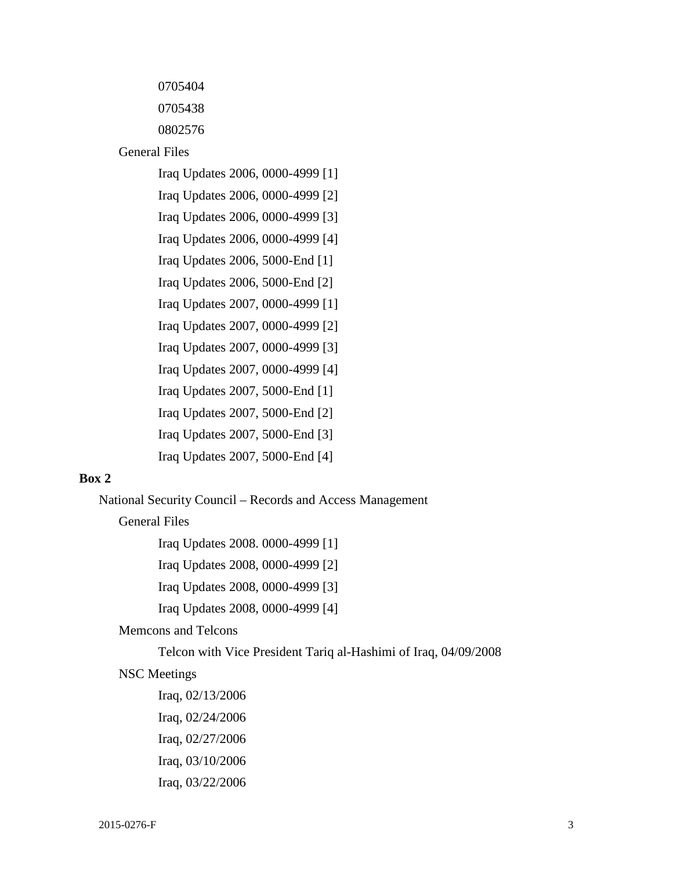0705404

0705438

0802576

General Files

Iraq Updates 2006, 0000-4999 [1]

Iraq Updates 2006, 0000-4999 [2]

Iraq Updates 2006, 0000-4999 [3]

Iraq Updates 2006, 0000-4999 [4]

Iraq Updates 2006, 5000-End [1]

Iraq Updates 2006, 5000-End [2]

Iraq Updates 2007, 0000-4999 [1]

Iraq Updates 2007, 0000-4999 [2]

Iraq Updates 2007, 0000-4999 [3]

Iraq Updates 2007, 0000-4999 [4]

Iraq Updates 2007, 5000-End [1]

Iraq Updates 2007, 5000-End [2]

Iraq Updates 2007, 5000-End [3]

Iraq Updates 2007, 5000-End [4]

## **Box 2**

National Security Council – Records and Access Management

General Files

Iraq Updates 2008. 0000-4999 [1]

Iraq Updates 2008, 0000-4999 [2]

Iraq Updates 2008, 0000-4999 [3]

Iraq Updates 2008, 0000-4999 [4]

#### Memcons and Telcons

Telcon with Vice President Tariq al-Hashimi of Iraq, 04/09/2008

#### NSC Meetings

Iraq, 02/13/2006 Iraq, 02/24/2006 Iraq, 02/27/2006 Iraq, 03/10/2006 Iraq, 03/22/2006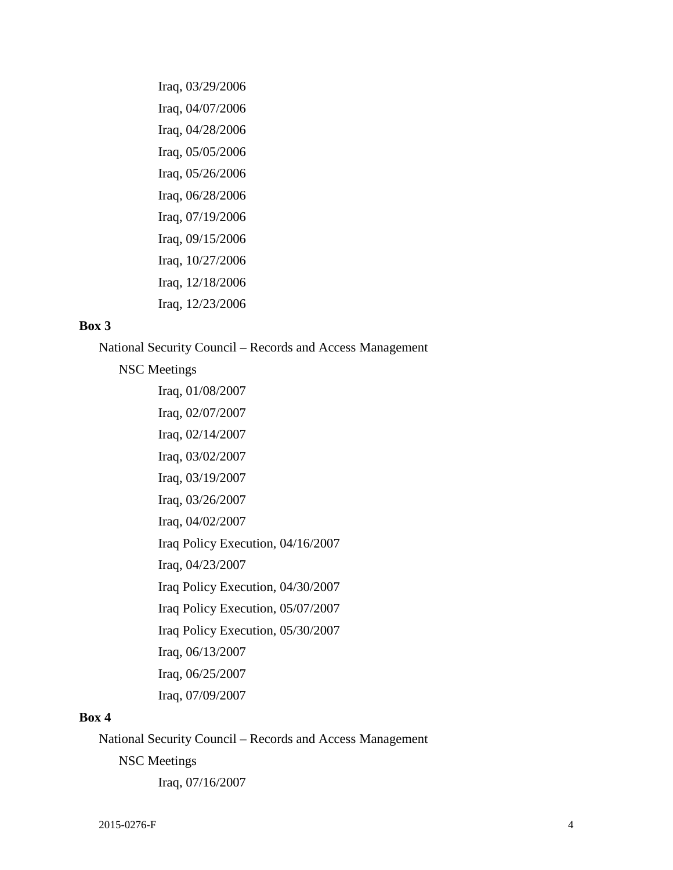Iraq, 03/29/2006 Iraq, 04/07/2006 Iraq, 04/28/2006 Iraq, 05/05/2006 Iraq, 05/26/2006 Iraq, 06/28/2006 Iraq, 07/19/2006 Iraq, 09/15/2006 Iraq, 10/27/2006 Iraq, 12/18/2006 Iraq, 12/23/2006

#### **Box 3**

National Security Council – Records and Access Management

NSC Meetings

Iraq, 01/08/2007 Iraq, 02/07/2007 Iraq, 02/14/2007 Iraq, 03/02/2007 Iraq, 03/19/2007 Iraq, 03/26/2007 Iraq, 04/02/2007 Iraq Policy Execution, 04/16/2007 Iraq, 04/23/2007 Iraq Policy Execution, 04/30/2007 Iraq Policy Execution, 05/07/2007 Iraq Policy Execution, 05/30/2007 Iraq, 06/13/2007 Iraq, 06/25/2007 Iraq, 07/09/2007

#### **Box 4**

National Security Council – Records and Access Management

NSC Meetings

Iraq, 07/16/2007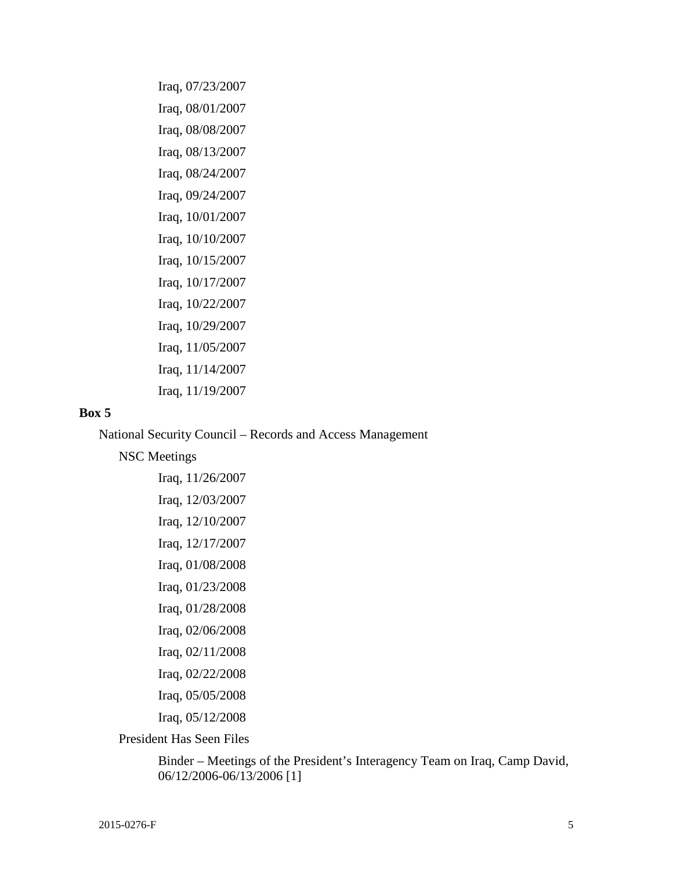Iraq, 07/23/2007 Iraq, 08/01/2007 Iraq, 08/08/2007 Iraq, 08/13/2007 Iraq, 08/24/2007 Iraq, 09/24/2007 Iraq, 10/01/2007 Iraq, 10/10/2007 Iraq, 10/15/2007 Iraq, 10/17/2007 Iraq, 10/22/2007 Iraq, 10/29/2007 Iraq, 11/05/2007 Iraq, 11/14/2007 Iraq, 11/19/2007

#### **Box 5**

National Security Council – Records and Access Management

NSC Meetings

Iraq, 11/26/2007 Iraq, 12/03/2007 Iraq, 12/10/2007 Iraq, 12/17/2007 Iraq, 01/08/2008 Iraq, 01/23/2008 Iraq, 01/28/2008 Iraq, 02/06/2008 Iraq, 02/11/2008 Iraq, 02/22/2008 Iraq, 05/05/2008 Iraq, 05/12/2008

President Has Seen Files

 Binder – Meetings of the President's Interagency Team on Iraq, Camp David, 06/12/2006-06/13/2006 [1]